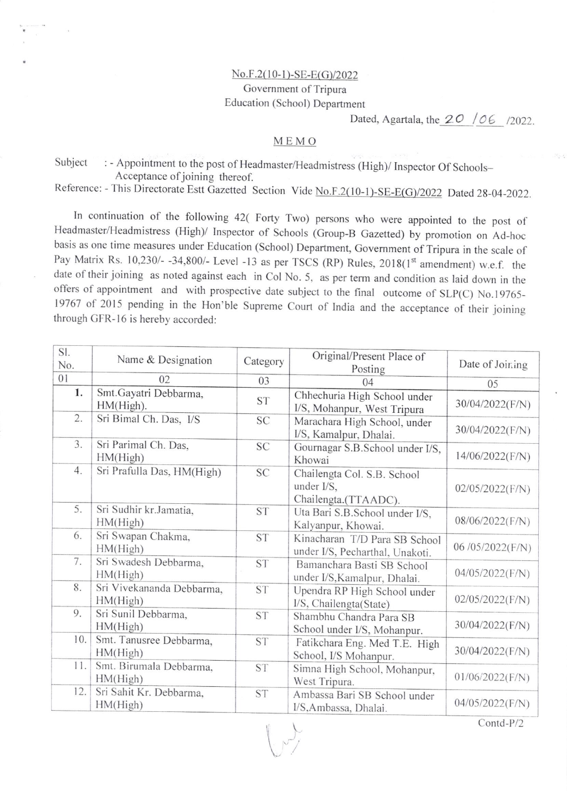## No.F.2(10-1)-SE-E(G)/2022 Government of Tripura Education (School) Department

Dated, Agartala, the  $20/06$  /2022.

## MEMO

Subject : - Appointment to the post of Headmaster/Headmistress (High)/ Inspector Of Schools-Acceptance of joining thereof.

Reference: - This Directorate Estt Gazetted Section Vide No.F.2(10-1)-SE-E(G)/2022 Dated 28-04-2022

In continuation of the following 42( Forty Two) persons who were appointed to the post of Headmaster/Headmistress (High)/ Inspector of Schools (Group-B Gazetted) by promotion on Ad-hoc basis as one time measures under Education (School) Department, Govemment of Tripura in the scale of Pay Matrix Rs. 10,230/- -34,800/- Level -13 as per TSCS (RP) Rules, 2018(1<sup>st</sup> amendment) w.e.f. the date of their joining as noted against each in Col No. 5, as per term and condition as laid down in the offers of appointment and with prospective date subject to the final outcome of SLP(C) No.19765-19767 of 2015 pending in the Hon'ble Supreme Court of India and the acceptance of their joining through GFR-16 is hereby accorded:

| SI.<br>No. | Name & Designation                    | Category  | Original/Present Place of<br>Posting                              | Date of Joining    |
|------------|---------------------------------------|-----------|-------------------------------------------------------------------|--------------------|
| 01         | 02                                    | 03        | 04                                                                | 05                 |
| 1.         | Smt.Gayatri Debbarma,<br>HM(High).    | <b>ST</b> | Chhechuria High School under<br>I/S, Mohanpur, West Tripura       | 30/04/2022(F/N)    |
| 2.         | Sri Bimal Ch. Das, I/S                | SC        | Marachara High School, under<br>I/S, Kamalpur, Dhalai.            | 30/04/2022(F/N)    |
| 3.         | Sri Parimal Ch. Das,<br>HM(High)      | <b>SC</b> | Gournagar S.B.School under I/S,<br>Khowai                         | 14/06/2022(F/N)    |
| 4.         | Sri Prafulla Das, HM(High)            | <b>SC</b> | Chailengta Col. S.B. School<br>under I/S.<br>Chailengta.(TTAADC). | $02/05/2022$ (F/N) |
| 5.         | Sri Sudhir kr.Jamatia,<br>HM(High)    | <b>ST</b> | Uta Bari S.B.School under I/S,<br>Kalyanpur, Khowai.              | 08/06/2022(F/N)    |
| 6.         | Sri Swapan Chakma,<br>HM(High)        | ST        | Kinacharan T/D Para SB School<br>under I/S, Pecharthal, Unakoti.  | 06/05/2022(F/N)    |
| 7.         | Sri Swadesh Debbarma,<br>HM(High)     | <b>ST</b> | Bamanchara Basti SB School<br>under I/S, Kamalpur, Dhalai.        | 04/05/2022(F/N)    |
| 8.         | Sri Vivekananda Debbarma,<br>HM(High) | <b>ST</b> | Upendra RP High School under<br>I/S, Chailengta(State)            | 02/05/2022(F/N)    |
| 9.         | Sri Sunil Debbarma,<br>HM(High)       | <b>ST</b> | Shambhu Chandra Para SB<br>School under I/S, Mohanpur.            | 30/04/2022(F/N)    |
| 10.        | Smt. Tanusree Debbarma,<br>HM(High)   | <b>ST</b> | Fatikchara Eng. Med T.E. High<br>School, I/S Mohanpur.            | 30/04/2022(F/N)    |
| 11.        | Smt. Birumala Debbarma,<br>HM(High)   | <b>ST</b> | Simna High School, Mohanpur,<br>West Tripura.                     | 01/06/2022(F/N)    |
| 12.        | Sri Sahit Kr. Debbarma,<br>HM(High)   | <b>ST</b> | Ambassa Bari SB School under<br>I/S, Ambassa, Dhalai.             | 04/05/2022(F/N)    |
|            |                                       |           |                                                                   | $Contd-P/2$        |

Contd-P/2